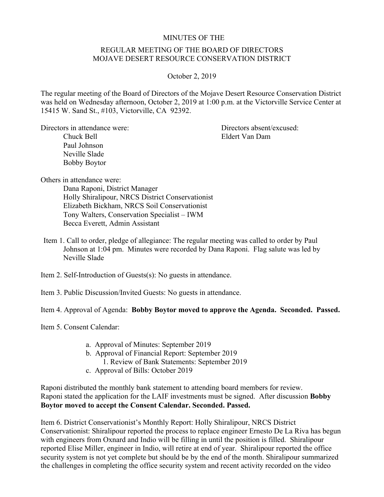## MINUTES OF THE

## REGULAR MEETING OF THE BOARD OF DIRECTORS MOJAVE DESERT RESOURCE CONSERVATION DISTRICT

## October 2, 2019

The regular meeting of the Board of Directors of the Mojave Desert Resource Conservation District was held on Wednesday afternoon, October 2, 2019 at 1:00 p.m. at the Victorville Service Center at 15415 W. Sand St., #103, Victorville, CA 92392.

Directors in attendance were: Directors absent/excused: Chuck Bell Eldert Van Dam Paul Johnson Neville Slade Bobby Boytor

Others in attendance were: Dana Raponi, District Manager

Holly Shiralipour, NRCS District Conservationist Elizabeth Bickham, NRCS Soil Conservationist Tony Walters, Conservation Specialist – IWM Becca Everett, Admin Assistant

- Item 1. Call to order, pledge of allegiance: The regular meeting was called to order by Paul Johnson at 1:04 pm. Minutes were recorded by Dana Raponi. Flag salute was led by Neville Slade
- Item 2. Self-Introduction of Guests(s): No guests in attendance.
- Item 3. Public Discussion/Invited Guests: No guests in attendance.

Item 4. Approval of Agenda: **Bobby Boytor moved to approve the Agenda. Seconded. Passed.** 

Item 5. Consent Calendar:

- a. Approval of Minutes: September 2019
- b. Approval of Financial Report: September 2019
- 1. Review of Bank Statements: September 2019
- c. Approval of Bills: October 2019

Raponi distributed the monthly bank statement to attending board members for review. Raponi stated the application for the LAIF investments must be signed. After discussion **Bobby Boytor moved to accept the Consent Calendar. Seconded. Passed.**

Item 6. District Conservationist's Monthly Report: Holly Shiralipour, NRCS District Conservationist: Shiralipour reported the process to replace engineer Ernesto De La Riva has begun with engineers from Oxnard and Indio will be filling in until the position is filled. Shiralipour reported Elise Miller, engineer in Indio, will retire at end of year. Shiralipour reported the office security system is not yet complete but should be by the end of the month. Shiralipour summarized the challenges in completing the office security system and recent activity recorded on the video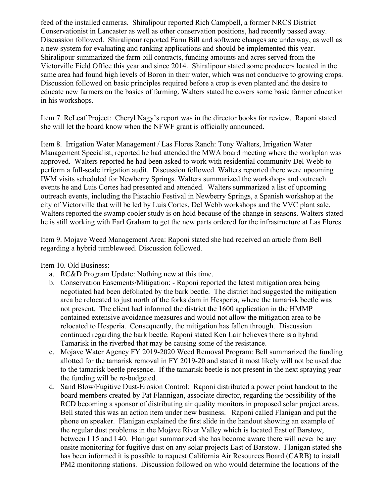feed of the installed cameras. Shiralipour reported Rich Campbell, a former NRCS District Conservationist in Lancaster as well as other conservation positions, had recently passed away. Discussion followed. Shiralipour reported Farm Bill and software changes are underway, as well as a new system for evaluating and ranking applications and should be implemented this year. Shiralipour summarized the farm bill contracts, funding amounts and acres served from the Victorville Field Office this year and since 2014. Shiralipour stated some producers located in the same area had found high levels of Boron in their water, which was not conducive to growing crops. Discussion followed on basic principles required before a crop is even planted and the desire to educate new farmers on the basics of farming. Walters stated he covers some basic farmer education in his workshops.

Item 7. ReLeaf Project: Cheryl Nagy's report was in the director books for review. Raponi stated she will let the board know when the NFWF grant is officially announced.

Item 8. Irrigation Water Management / Las Flores Ranch: Tony Walters, Irrigation Water Management Specialist, reported he had attended the MWA board meeting where the workplan was approved. Walters reported he had been asked to work with residential community Del Webb to perform a full-scale irrigation audit. Discussion followed. Walters reported there were upcoming IWM visits scheduled for Newberry Springs. Walters summarized the workshops and outreach events he and Luis Cortes had presented and attended. Walters summarized a list of upcoming outreach events, including the Pistachio Festival in Newberry Springs, a Spanish workshop at the city of Victorville that will be led by Luis Cortes, Del Webb workshops and the VVC plant sale. Walters reported the swamp cooler study is on hold because of the change in seasons. Walters stated he is still working with Earl Graham to get the new parts ordered for the infrastructure at Las Flores.

Item 9. Mojave Weed Management Area: Raponi stated she had received an article from Bell regarding a hybrid tumbleweed. Discussion followed.

Item 10. Old Business:

- a. RC&D Program Update: Nothing new at this time.
- b. Conservation Easements/Mitigation: Raponi reported the latest mitigation area being negotiated had been defoliated by the bark beetle. The district had suggested the mitigation area be relocated to just north of the forks dam in Hesperia, where the tamarisk beetle was not present. The client had informed the district the 1600 application in the HMMP contained extensive avoidance measures and would not allow the mitigation area to be relocated to Hesperia. Consequently, the mitigation has fallen through. Discussion continued regarding the bark beetle. Raponi stated Ken Lair believes there is a hybrid Tamarisk in the riverbed that may be causing some of the resistance.
- c. Mojave Water Agency FY 2019-2020 Weed Removal Program: Bell summarized the funding allotted for the tamarisk removal in FY 2019-20 and stated it most likely will not be used due to the tamarisk beetle presence. If the tamarisk beetle is not present in the next spraying year the funding will be re-budgeted.
- d. Sand Blow/Fugitive Dust-Erosion Control: Raponi distributed a power point handout to the board members created by Pat Flannigan, associate director, regarding the possibility of the RCD becoming a sponsor of distributing air quality monitors in proposed solar project areas. Bell stated this was an action item under new business. Raponi called Flanigan and put the phone on speaker. Flanigan explained the first slide in the handout showing an example of the regular dust problems in the Mojave River Valley which is located East of Barstow, between I 15 and I 40. Flanigan summarized she has become aware there will never be any onsite monitoring for fugitive dust on any solar projects East of Barstow. Flanigan stated she has been informed it is possible to request California Air Resources Board (CARB) to install PM2 monitoring stations. Discussion followed on who would determine the locations of the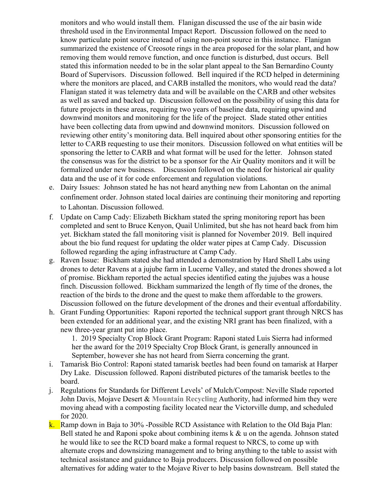monitors and who would install them. Flanigan discussed the use of the air basin wide threshold used in the Environmental Impact Report. Discussion followed on the need to know particulate point source instead of using non-point source in this instance. Flanigan summarized the existence of Creosote rings in the area proposed for the solar plant, and how removing them would remove function, and once function is disturbed, dust occurs. Bell stated this information needed to be in the solar plant appeal to the San Bernardino County Board of Supervisors. Discussion followed. Bell inquired if the RCD helped in determining where the monitors are placed, and CARB installed the monitors, who would read the data? Flanigan stated it was telemetry data and will be available on the CARB and other websites as well as saved and backed up. Discussion followed on the possibility of using this data for future projects in these areas, requiring two years of baseline data, requiring upwind and downwind monitors and monitoring for the life of the project. Slade stated other entities have been collecting data from upwind and downwind monitors. Discussion followed on reviewing other entity's monitoring data. Bell inquired about other sponsoring entities for the letter to CARB requesting to use their monitors. Discussion followed on what entities will be sponsoring the letter to CARB and what format will be used for the letter. Johnson stated the consensus was for the district to be a sponsor for the Air Quality monitors and it will be formalized under new business. Discussion followed on the need for historical air quality data and the use of it for code enforcement and regulation violations.

- e. Dairy Issues: Johnson stated he has not heard anything new from Lahontan on the animal confinement order. Johnson stated local dairies are continuing their monitoring and reporting to Lahontan. Discussion followed.
- f. Update on Camp Cady: Elizabeth Bickham stated the spring monitoring report has been completed and sent to Bruce Kenyon, Quail Unlimited, but she has not heard back from him yet. Bickham stated the fall monitoring visit is planned for November 2019. Bell inquired about the bio fund request for updating the older water pipes at Camp Cady. Discussion followed regarding the aging infrastructure at Camp Cady.
- g. Raven Issue: Bickham stated she had attended a demonstration by Hard Shell Labs using drones to deter Ravens at a jujube farm in Lucerne Valley, and stated the drones showed a lot of promise. Bickham reported the actual species identified eating the jujubes was a house finch. Discussion followed. Bickham summarized the length of fly time of the drones, the reaction of the birds to the drone and the quest to make them affordable to the growers. Discussion followed on the future development of the drones and their eventual affordability.
- h. Grant Funding Opportunities: Raponi reported the technical support grant through NRCS has been extended for an additional year, and the existing NRI grant has been finalized, with a new three-year grant put into place.

1. 2019 Specialty Crop Block Grant Program: Raponi stated Luis Sierra had informed her the award for the 2019 Specialty Crop Block Grant, is generally announced in September, however she has not heard from Sierra concerning the grant.

- i. Tamarisk Bio Control: Raponi stated tamarisk beetles had been found on tamarisk at Harper Dry Lake. Discussion followed. Raponi distributed pictures of the tamarisk beetles to the board.
- j. Regulations for Standards for Different Levels' of Mulch/Compost: Neville Slade reported John Davis, Mojave Desert & **Mountain Recycling** Authority, had informed him they were moving ahead with a composting facility located near the Victorville dump, and scheduled for 2020.
- k. Ramp down in Baja to 30% -Possible RCD Assistance with Relation to the Old Baja Plan: Bell stated he and Raponi spoke about combining items k & u on the agenda. Johnson stated he would like to see the RCD board make a formal request to NRCS, to come up with alternate crops and downsizing management and to bring anything to the table to assist with technical assistance and guidance to Baja producers. Discussion followed on possible alternatives for adding water to the Mojave River to help basins downstream. Bell stated the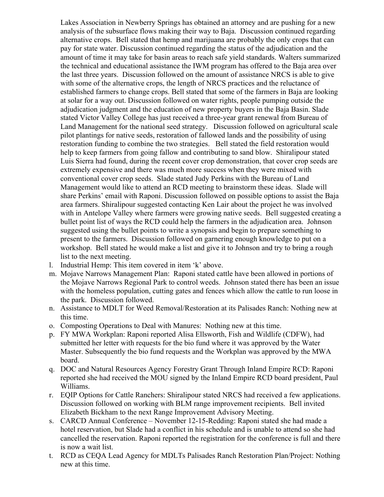Lakes Association in Newberry Springs has obtained an attorney and are pushing for a new analysis of the subsurface flows making their way to Baja. Discussion continued regarding alternative crops. Bell stated that hemp and marijuana are probably the only crops that can pay for state water. Discussion continued regarding the status of the adjudication and the amount of time it may take for basin areas to reach safe yield standards. Walters summarized the technical and educational assistance the IWM program has offered to the Baja area over the last three years. Discussion followed on the amount of assistance NRCS is able to give with some of the alternative crops, the length of NRCS practices and the reluctance of established farmers to change crops. Bell stated that some of the farmers in Baja are looking at solar for a way out. Discussion followed on water rights, people pumping outside the adjudication judgment and the education of new property buyers in the Baja Basin. Slade stated Victor Valley College has just received a three-year grant renewal from Bureau of Land Management for the national seed strategy. Discussion followed on agricultural scale pilot plantings for native seeds, restoration of fallowed lands and the possibility of using restoration funding to combine the two strategies. Bell stated the field restoration would help to keep farmers from going fallow and contributing to sand blow. Shiralipour stated Luis Sierra had found, during the recent cover crop demonstration, that cover crop seeds are extremely expensive and there was much more success when they were mixed with conventional cover crop seeds. Slade stated Judy Perkins with the Bureau of Land Management would like to attend an RCD meeting to brainstorm these ideas. Slade will share Perkins' email with Raponi. Discussion followed on possible options to assist the Baja area farmers. Shiralipour suggested contacting Ken Lair about the project he was involved with in Antelope Valley where farmers were growing native seeds. Bell suggested creating a bullet point list of ways the RCD could help the farmers in the adjudication area. Johnson suggested using the bullet points to write a synopsis and begin to prepare something to present to the farmers. Discussion followed on garnering enough knowledge to put on a workshop. Bell stated he would make a list and give it to Johnson and try to bring a rough list to the next meeting.

- l. Industrial Hemp: This item covered in item 'k' above.
- m. Mojave Narrows Management Plan: Raponi stated cattle have been allowed in portions of the Mojave Narrows Regional Park to control weeds. Johnson stated there has been an issue with the homeless population, cutting gates and fences which allow the cattle to run loose in the park. Discussion followed.
- n. Assistance to MDLT for Weed Removal/Restoration at its Palisades Ranch: Nothing new at this time.
- o. Composting Operations to Deal with Manures: Nothing new at this time.
- p. FY MWA Workplan: Raponi reported Alisa Ellsworth, Fish and Wildlife (CDFW), had submitted her letter with requests for the bio fund where it was approved by the Water Master. Subsequently the bio fund requests and the Workplan was approved by the MWA board.
- q. DOC and Natural Resources Agency Forestry Grant Through Inland Empire RCD: Raponi reported she had received the MOU signed by the Inland Empire RCD board president, Paul Williams.
- r. EQIP Options for Cattle Ranchers: Shiralipour stated NRCS had received a few applications. Discussion followed on working with BLM range improvement recipients. Bell invited Elizabeth Bickham to the next Range Improvement Advisory Meeting.
- s. CARCD Annual Conference November 12-15-Redding: Raponi stated she had made a hotel reservation, but Slade had a conflict in his schedule and is unable to attend so she had cancelled the reservation. Raponi reported the registration for the conference is full and there is now a wait list.
- t. RCD as CEQA Lead Agency for MDLTs Palisades Ranch Restoration Plan/Project: Nothing new at this time.